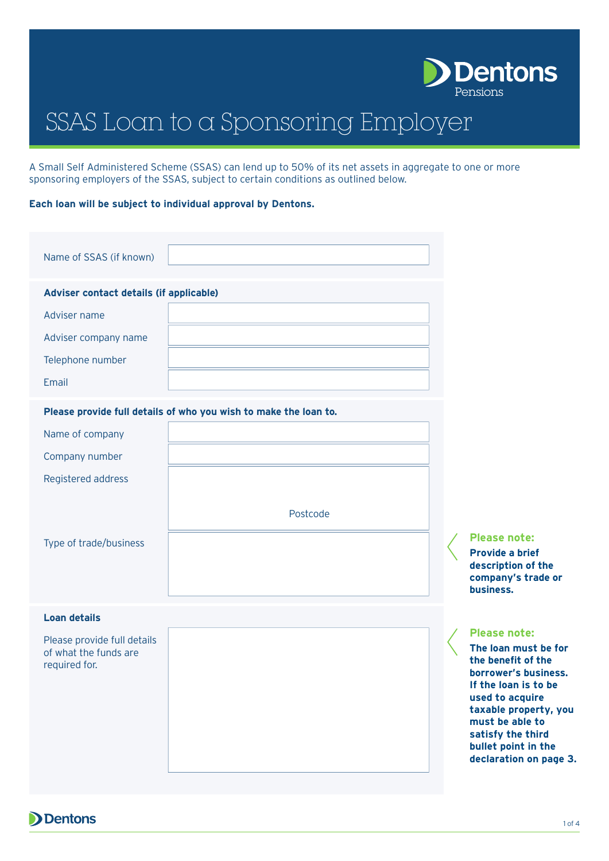

# SSAS Loan to a Sponsoring Employer

A Small Self Administered Scheme (SSAS) can lend up to 50% of its net assets in aggregate to one or more sponsoring employers of the SSAS, subject to certain conditions as outlined below.

### **Each loan will be subject to individual approval by Dentons.**

| Adviser contact details (if applicable)<br>Adviser name<br>Adviser company name<br>Telephone number<br>Email<br>Please provide full details of who you wish to make the loan to.<br>Name of company<br>Company number<br>Registered address<br>Postcode<br>Type of trade/business | Name of SSAS (if known) |  |                  |  |  |  |  |  |
|-----------------------------------------------------------------------------------------------------------------------------------------------------------------------------------------------------------------------------------------------------------------------------------|-------------------------|--|------------------|--|--|--|--|--|
|                                                                                                                                                                                                                                                                                   |                         |  |                  |  |  |  |  |  |
|                                                                                                                                                                                                                                                                                   |                         |  |                  |  |  |  |  |  |
|                                                                                                                                                                                                                                                                                   |                         |  |                  |  |  |  |  |  |
|                                                                                                                                                                                                                                                                                   |                         |  |                  |  |  |  |  |  |
|                                                                                                                                                                                                                                                                                   |                         |  |                  |  |  |  |  |  |
|                                                                                                                                                                                                                                                                                   |                         |  |                  |  |  |  |  |  |
|                                                                                                                                                                                                                                                                                   |                         |  |                  |  |  |  |  |  |
|                                                                                                                                                                                                                                                                                   |                         |  |                  |  |  |  |  |  |
|                                                                                                                                                                                                                                                                                   |                         |  |                  |  |  |  |  |  |
|                                                                                                                                                                                                                                                                                   |                         |  |                  |  |  |  |  |  |
|                                                                                                                                                                                                                                                                                   |                         |  | Pl<br>Pr         |  |  |  |  |  |
|                                                                                                                                                                                                                                                                                   |                         |  | de:<br><b>CO</b> |  |  |  |  |  |
|                                                                                                                                                                                                                                                                                   |                         |  | <b>bu</b>        |  |  |  |  |  |

## **Loan details**

Please provide full details of what the funds are required for.

# **Please note:**

**Provide a brief description of the company's trade or business.**

# **Please note:**

**The loan must be for the benefit of the borrower's business. If the loan is to be used to acquire taxable property, you must be able to satisfy the third bullet point in the declaration on page 3.**

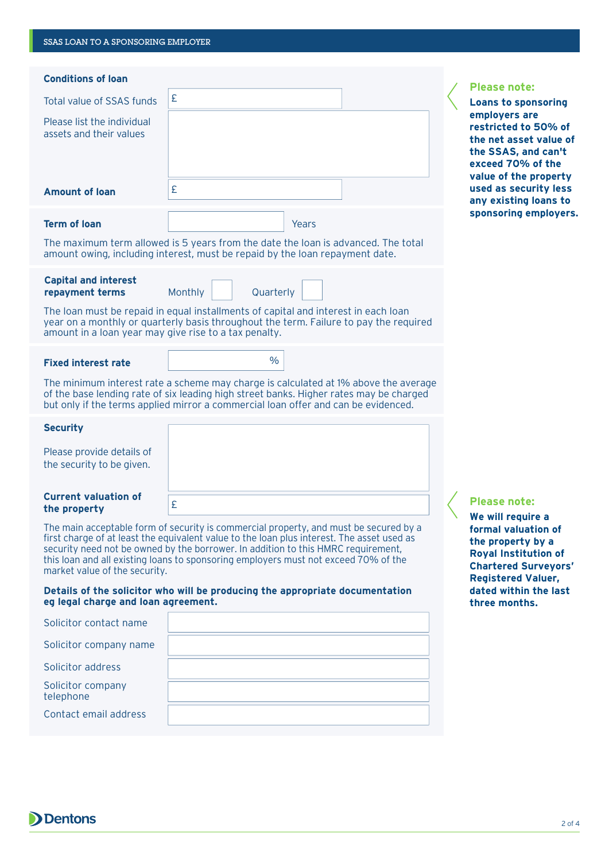| <b>Conditions of loan</b>                                                                                                                                                                                     |                                                                                                                                                                                                                                                                     |       |  | <b>Please note:</b>                                                                                                                  |
|---------------------------------------------------------------------------------------------------------------------------------------------------------------------------------------------------------------|---------------------------------------------------------------------------------------------------------------------------------------------------------------------------------------------------------------------------------------------------------------------|-------|--|--------------------------------------------------------------------------------------------------------------------------------------|
| Total value of SSAS funds                                                                                                                                                                                     | £                                                                                                                                                                                                                                                                   |       |  | <b>Loans to sponsoring</b>                                                                                                           |
| Please list the individual<br>assets and their values                                                                                                                                                         |                                                                                                                                                                                                                                                                     |       |  | employers are<br>restricted to 50% of<br>the net asset value of<br>the SSAS, and can't<br>exceed 70% of the<br>value of the property |
| <b>Amount of loan</b>                                                                                                                                                                                         | £                                                                                                                                                                                                                                                                   |       |  | used as security less<br>any existing loans to                                                                                       |
| <b>Term of loan</b>                                                                                                                                                                                           |                                                                                                                                                                                                                                                                     | Years |  | sponsoring employers.                                                                                                                |
|                                                                                                                                                                                                               | The maximum term allowed is 5 years from the date the loan is advanced. The total<br>amount owing, including interest, must be repaid by the loan repayment date.                                                                                                   |       |  |                                                                                                                                      |
| <b>Capital and interest</b><br>repayment terms                                                                                                                                                                | Monthly<br>Quarterly                                                                                                                                                                                                                                                |       |  |                                                                                                                                      |
| amount in a loan year may give rise to a tax penalty.                                                                                                                                                         | The loan must be repaid in equal installments of capital and interest in each loan<br>year on a monthly or quarterly basis throughout the term. Failure to pay the required                                                                                         |       |  |                                                                                                                                      |
| <b>Fixed interest rate</b>                                                                                                                                                                                    | $\frac{0}{0}$                                                                                                                                                                                                                                                       |       |  |                                                                                                                                      |
|                                                                                                                                                                                                               | The minimum interest rate a scheme may charge is calculated at 1% above the average<br>of the base lending rate of six leading high street banks. Higher rates may be charged<br>but only if the terms applied mirror a commercial loan offer and can be evidenced. |       |  |                                                                                                                                      |
| <b>Security</b>                                                                                                                                                                                               |                                                                                                                                                                                                                                                                     |       |  |                                                                                                                                      |
| Please provide details of<br>the security to be given.                                                                                                                                                        |                                                                                                                                                                                                                                                                     |       |  |                                                                                                                                      |
| <b>Current valuation of</b><br>the property                                                                                                                                                                   | £                                                                                                                                                                                                                                                                   |       |  | <b>Please note:</b><br>We will require a                                                                                             |
| The main acceptable form of security is commercial property, and must be secured by a<br>this loan and all existing loans to sponsoring employers must not exceed 70% of the<br>market value of the security. | first charge of at least the equivalent value to the loan plus interest. The asset used as<br>security need not be owned by the borrower. In addition to this HMRC requirement,                                                                                     |       |  | formal valuation of<br>the property by a<br><b>Royal Institution of</b><br><b>Chartered Surveyors'</b><br><b>Registered Valuer,</b>  |
| eg legal charge and loan agreement.                                                                                                                                                                           | Details of the solicitor who will be producing the appropriate documentation                                                                                                                                                                                        |       |  | dated within the last<br>three months.                                                                                               |
| Solicitor contact name                                                                                                                                                                                        |                                                                                                                                                                                                                                                                     |       |  |                                                                                                                                      |
| Solicitor company name                                                                                                                                                                                        |                                                                                                                                                                                                                                                                     |       |  |                                                                                                                                      |
| Solicitor address                                                                                                                                                                                             |                                                                                                                                                                                                                                                                     |       |  |                                                                                                                                      |
| Solicitor company<br>telephone                                                                                                                                                                                |                                                                                                                                                                                                                                                                     |       |  |                                                                                                                                      |
| Contact email address                                                                                                                                                                                         |                                                                                                                                                                                                                                                                     |       |  |                                                                                                                                      |
|                                                                                                                                                                                                               |                                                                                                                                                                                                                                                                     |       |  |                                                                                                                                      |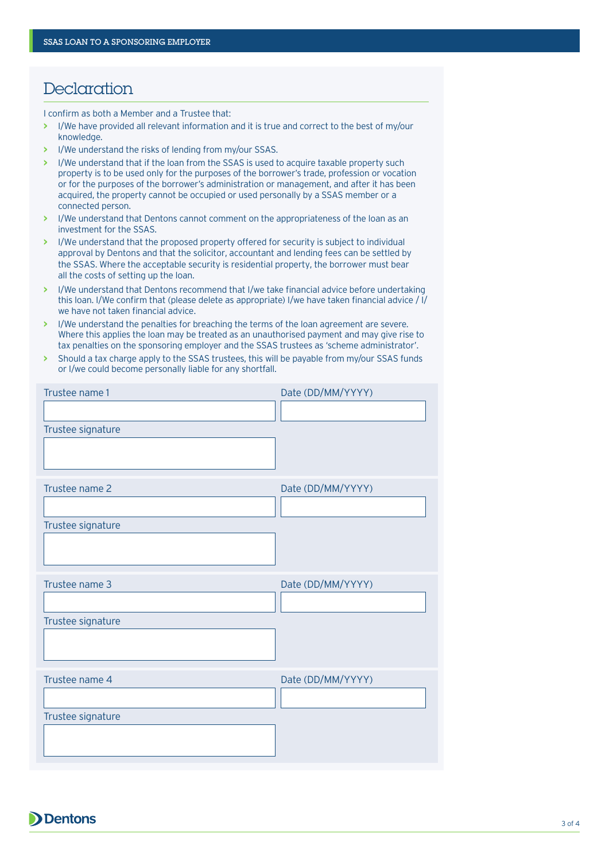# **Declaration**

I confirm as both a Member and a Trustee that:

- **>** I/We have provided all relevant information and it is true and correct to the best of my/our knowledge.
- **>** I/We understand the risks of lending from my/our SSAS.
- **>** I/We understand that if the loan from the SSAS is used to acquire taxable property such property is to be used only for the purposes of the borrower's trade, profession or vocation or for the purposes of the borrower's administration or management, and after it has been acquired, the property cannot be occupied or used personally by a SSAS member or a connected person.
- **>** I/We understand that Dentons cannot comment on the appropriateness of the loan as an investment for the SSAS.
- **>** I/We understand that the proposed property offered for security is subject to individual approval by Dentons and that the solicitor, accountant and lending fees can be settled by the SSAS. Where the acceptable security is residential property, the borrower must bear all the costs of setting up the loan.
- **>** I/We understand that Dentons recommend that I/we take financial advice before undertaking this loan. I/We confirm that (please delete as appropriate) I/we have taken financial advice / I/ we have not taken financial advice.
- **>** I/We understand the penalties for breaching the terms of the loan agreement are severe. Where this applies the loan may be treated as an unauthorised payment and may give rise to tax penalties on the sponsoring employer and the SSAS trustees as 'scheme administrator'.
- **>** Should a tax charge apply to the SSAS trustees, this will be payable from my/our SSAS funds or I/we could become personally liable for any shortfall.

| Trustee name 1    | Date (DD/MM/YYYY) |
|-------------------|-------------------|
|                   |                   |
| Trustee signature |                   |
|                   |                   |
| Trustee name 2    | Date (DD/MM/YYYY) |
|                   |                   |
| Trustee signature |                   |
|                   |                   |
|                   |                   |
| Trustee name 3    | Date (DD/MM/YYYY) |
|                   |                   |
| Trustee signature |                   |
|                   |                   |
| Trustee name 4    | Date (DD/MM/YYYY) |
|                   |                   |
| Trustee signature |                   |
|                   |                   |